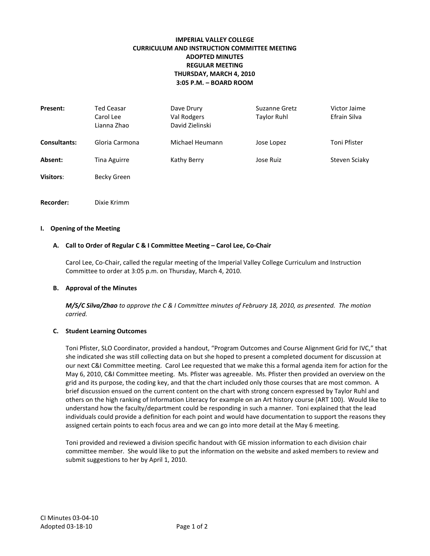# **IMPERIAL VALLEY COLLEGE CURRICULUM AND INSTRUCTION COMMITTEE MEETING ADOPTED MINUTES REGULAR MEETING THURSDAY, MARCH 4, 2010 3:05 P.M. – BOARD ROOM**

| Present:            | Ted Ceasar<br>Carol Lee<br>Lianna Zhao | Dave Drury<br>Val Rodgers<br>David Zielinski | Suzanne Gretz<br><b>Taylor Ruhl</b> | Victor Jaime<br>Efrain Silva |
|---------------------|----------------------------------------|----------------------------------------------|-------------------------------------|------------------------------|
| <b>Consultants:</b> | Gloria Carmona                         | Michael Heumann                              | Jose Lopez                          | Toni Pfister                 |
| Absent:             | Tina Aguirre                           | Kathy Berry                                  | Jose Ruiz                           | Steven Sciaky                |
| <b>Visitors:</b>    | Becky Green                            |                                              |                                     |                              |
|                     |                                        |                                              |                                     |                              |

**Recorder:** Dixie Krimm

# **I. Opening of the Meeting**

#### **A. Call to Order of Regular C & I Committee Meeting – Carol Lee, Co-Chair**

Carol Lee, Co-Chair, called the regular meeting of the Imperial Valley College Curriculum and Instruction Committee to order at 3:05 p.m. on Thursday, March 4, 2010.

#### **B. Approval of the Minutes**

*M/S/C Silva/Zhao to approve the C & I Committee minutes of February 18, 2010, as presented. The motion carried.*

#### **C. Student Learning Outcomes**

Toni Pfister, SLO Coordinator, provided a handout, "Program Outcomes and Course Alignment Grid for IVC," that she indicated she was still collecting data on but she hoped to present a completed document for discussion at our next C&I Committee meeting. Carol Lee requested that we make this a formal agenda item for action for the May 6, 2010, C&I Committee meeting. Ms. Pfister was agreeable. Ms. Pfister then provided an overview on the grid and its purpose, the coding key, and that the chart included only those courses that are most common. A brief discussion ensued on the current content on the chart with strong concern expressed by Taylor Ruhl and others on the high ranking of Information Literacy for example on an Art history course (ART 100). Would like to understand how the faculty/department could be responding in such a manner. Toni explained that the lead individuals could provide a definition for each point and would have documentation to support the reasons they assigned certain points to each focus area and we can go into more detail at the May 6 meeting.

Toni provided and reviewed a division specific handout with GE mission information to each division chair committee member. She would like to put the information on the website and asked members to review and submit suggestions to her by April 1, 2010.